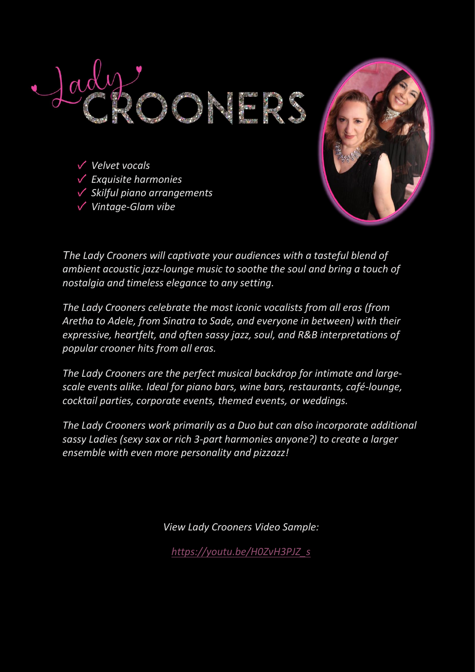

*Velvet vocals*

*Exquisite harmonies*

*Vintage-Glam vibe*

*Skilful piano arrangements*



*The Lady Crooners will captivate your audiences with a tasteful blend of* 

*ambient acoustic jazz-lounge music to soothe the soul and bring a touch of nostalgia and timeless elegance to any setting.*

*The Lady Crooners celebrate the most iconic vocalists from all eras (from Aretha to Adele, from Sinatra to Sade, and everyone in between) with their expressive, heartfelt, and often sassy jazz, soul, and R&B interpretations of popular crooner hits from all eras.*

*The Lady Crooners are the perfect musical backdrop for intimate and largescale events alike. Ideal for piano bars, wine bars, restaurants, café-lounge, cocktail parties, corporate events, themed events, or weddings.*

*The Lady Crooners work primarily as a Duo but can also incorporate additional sassy Ladies (sexy sax or rich 3-part harmonies anyone?) to create a larger ensemble with even more personality and pizzazz!*

*View Lady Crooners Video Sample:*

*[https://youtu.be/H0ZvH3PJZ\\_s](https://youtu.be/H0ZvH3PJZ_s)*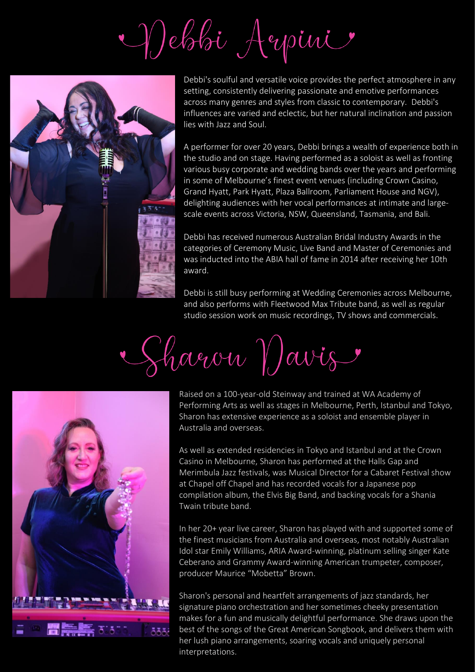Debbi Aepini



Debbi's soulful and versatile voice provides the perfect atmosphere in any setting, consistently delivering passionate and emotive performances across many genres and styles from classic to contemporary. Debbi's influences are varied and eclectic, but her natural inclination and passion lies with Jazz and Soul.

A performer for over 20 years, Debbi brings a wealth of experience both in the studio and on stage. Having performed as a soloist as well as fronting various busy corporate and wedding bands over the years and performing in some of Melbourne's finest event venues (including Crown Casino, Grand Hyatt, Park Hyatt, Plaza Ballroom, Parliament House and NGV), delighting audiences with her vocal performances at intimate and largescale events across Victoria, NSW, Queensland, Tasmania, and Bali.

Debbi has received numerous Australian Bridal Industry Awards in the categories of Ceremony Music, Live Band and Master of Ceremonies and was inducted into the ABIA hall of fame in 2014 after receiving her 10th award.

Debbi is still busy performing at Wedding Ceremonies across Melbourne, and also performs with Fleetwood Max Tribute band, as well as regular studio session work on music recordings, TV shows and commercials.

Sharon Vavis



Raised on a 100-year-old Steinway and trained at WA Academy of Performing Arts as well as stages in Melbourne, Perth, Istanbul and Tokyo, Sharon has extensive experience as a soloist and ensemble player in Australia and overseas.

As well as extended residencies in Tokyo and Istanbul and at the Crown Casino in Melbourne, Sharon has performed at the Halls Gap and Merimbula Jazz festivals, was Musical Director for a Cabaret Festival show at Chapel off Chapel and has recorded vocals for a Japanese pop compilation album, the Elvis Big Band, and backing vocals for a Shania Twain tribute band.

In her 20+ year live career, Sharon has played with and supported some of the finest musicians from Australia and overseas, most notably Australian Idol star Emily Williams, ARIA Award-winning, platinum selling singer Kate Ceberano and Grammy Award-winning American trumpeter, composer, producer Maurice "Mobetta" Brown.

Sharon's personal and heartfelt arrangements of jazz standards, her signature piano orchestration and her sometimes cheeky presentation makes for a fun and musically delightful performance. She draws upon the best of the songs of the Great American Songbook, and delivers them with her lush piano arrangements, soaring vocals and uniquely personal interpretations.